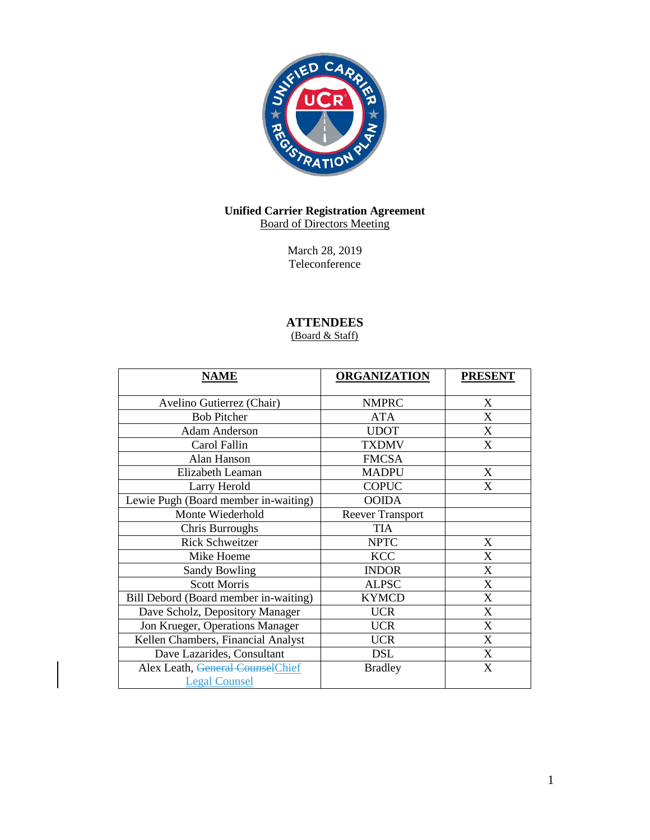

# **Unified Carrier Registration Agreement** Board of Directors Meeting

March 28, 2019 Teleconference

# **ATTENDEES**

(Board & Staff)

| <b>NAME</b>                           | <b>ORGANIZATION</b>     | <b>PRESENT</b> |
|---------------------------------------|-------------------------|----------------|
| Avelino Gutierrez (Chair)             | <b>NMPRC</b>            | X              |
| <b>Bob Pitcher</b>                    | <b>ATA</b>              | X              |
| <b>Adam Anderson</b>                  | <b>UDOT</b>             | X              |
| Carol Fallin                          | <b>TXDMV</b>            | X              |
| Alan Hanson                           | <b>FMCSA</b>            |                |
| Elizabeth Leaman                      | <b>MADPU</b>            | X              |
| Larry Herold                          | <b>COPUC</b>            | X              |
| Lewie Pugh (Board member in-waiting)  | <b>OOIDA</b>            |                |
| Monte Wiederhold                      | <b>Reever Transport</b> |                |
| Chris Burroughs                       | <b>TIA</b>              |                |
| <b>Rick Schweitzer</b>                | <b>NPTC</b>             | X              |
| Mike Hoeme                            | <b>KCC</b>              | X              |
| <b>Sandy Bowling</b>                  | <b>INDOR</b>            | X              |
| <b>Scott Morris</b>                   | <b>ALPSC</b>            | X              |
| Bill Debord (Board member in-waiting) | <b>KYMCD</b>            | X              |
| Dave Scholz, Depository Manager       | <b>UCR</b>              | X              |
| Jon Krueger, Operations Manager       | <b>UCR</b>              | X              |
| Kellen Chambers, Financial Analyst    | <b>UCR</b>              | X              |
| Dave Lazarides, Consultant            | DSL                     | X              |
| Alex Leath, General CounselChief      | <b>Bradley</b>          | X              |
| <b>Legal Counsel</b>                  |                         |                |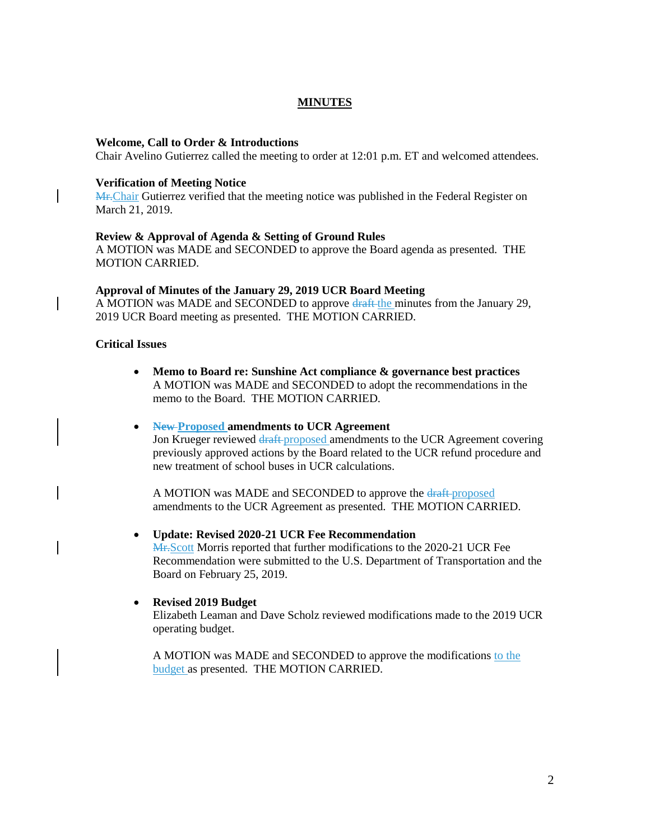# **MINUTES**

#### **Welcome, Call to Order & Introductions**

Chair Avelino Gutierrez called the meeting to order at 12:01 p.m. ET and welcomed attendees.

#### **Verification of Meeting Notice**

Mr. Chair Gutierrez verified that the meeting notice was published in the Federal Register on March 21, 2019.

#### **Review & Approval of Agenda & Setting of Ground Rules**

A MOTION was MADE and SECONDED to approve the Board agenda as presented. THE MOTION CARRIED.

#### **Approval of Minutes of the January 29, 2019 UCR Board Meeting**

A MOTION was MADE and SECONDED to approve draft the minutes from the January 29, 2019 UCR Board meeting as presented. THE MOTION CARRIED.

# **Critical Issues**

- **Memo to Board re: Sunshine Act compliance & governance best practices** A MOTION was MADE and SECONDED to adopt the recommendations in the memo to the Board. THE MOTION CARRIED.
- **New Proposed amendments to UCR Agreement**

Jon Krueger reviewed draft proposed amendments to the UCR Agreement covering previously approved actions by the Board related to the UCR refund procedure and new treatment of school buses in UCR calculations.

A MOTION was MADE and SECONDED to approve the draft-proposed amendments to the UCR Agreement as presented. THE MOTION CARRIED.

#### **Update: Revised 2020-21 UCR Fee Recommendation**

Mr.Scott Morris reported that further modifications to the 2020-21 UCR Fee Recommendation were submitted to the U.S. Department of Transportation and the Board on February 25, 2019.

#### **Revised 2019 Budget**

Elizabeth Leaman and Dave Scholz reviewed modifications made to the 2019 UCR operating budget.

A MOTION was MADE and SECONDED to approve the modifications to the budget as presented. THE MOTION CARRIED.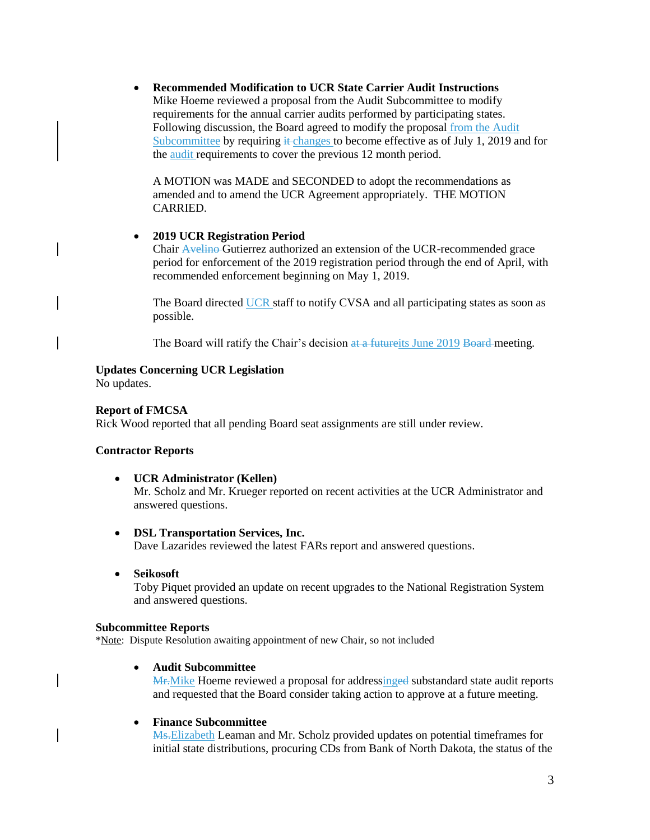**Recommended Modification to UCR State Carrier Audit Instructions**  Mike Hoeme reviewed a proposal from the Audit Subcommittee to modify requirements for the annual carrier audits performed by participating states. Following discussion, the Board agreed to modify the proposal from the Audit Subcommittee by requiring  $\pm$ changes to become effective as of July 1, 2019 and for the audit requirements to cover the previous 12 month period.

A MOTION was MADE and SECONDED to adopt the recommendations as amended and to amend the UCR Agreement appropriately. THE MOTION CARRIED.

#### **2019 UCR Registration Period**

Chair Avelino Gutierrez authorized an extension of the UCR-recommended grace period for enforcement of the 2019 registration period through the end of April, with recommended enforcement beginning on May 1, 2019.

The Board directed UCR staff to notify CVSA and all participating states as soon as possible.

The Board will ratify the Chair's decision at a future its June 2019 Board meeting.

#### **Updates Concerning UCR Legislation**

No updates.

#### **Report of FMCSA**

Rick Wood reported that all pending Board seat assignments are still under review.

## **Contractor Reports**

- **UCR Administrator (Kellen)**  Mr. Scholz and Mr. Krueger reported on recent activities at the UCR Administrator and answered questions.
- **DSL Transportation Services, Inc.** Dave Lazarides reviewed the latest FARs report and answered questions.
- **Seikosoft**

Toby Piquet provided an update on recent upgrades to the National Registration System and answered questions.

#### **Subcommittee Reports**

\*Note: Dispute Resolution awaiting appointment of new Chair, so not included

**Audit Subcommittee** 

M<sub>r</sub>.Mike Hoeme reviewed a proposal for addressinged substandard state audit reports and requested that the Board consider taking action to approve at a future meeting.

#### **Finance Subcommittee**

Ms.Elizabeth Leaman and Mr. Scholz provided updates on potential timeframes for initial state distributions, procuring CDs from Bank of North Dakota, the status of the